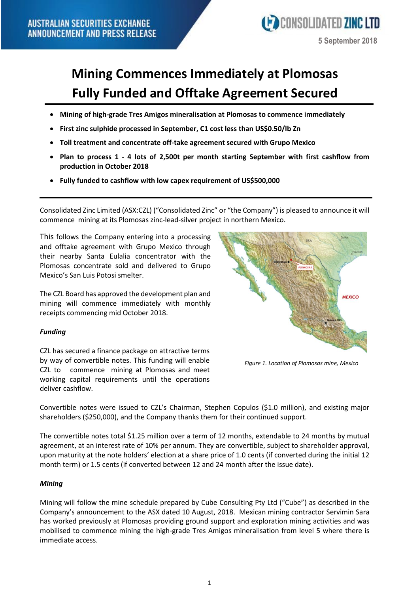

# **Mining Commences Immediately at Plomosas Fully Funded and Offtake Agreement Secured**

- **Mining of high-grade Tres Amigos mineralisation at Plomosas to commence immediately**
- **First zinc sulphide processed in September, C1 cost less than US\$0.50/lb Zn**
- **Toll treatment and concentrate off-take agreement secured with Grupo Mexico**
- **Plan to process 1 - 4 lots of 2,500t per month starting September with first cashflow from production in October 2018**
- **Fully funded to cashflow with low capex requirement of US\$500,000**

Consolidated Zinc Limited (ASX:CZL) ("Consolidated Zinc" or "the Company") is pleased to announce it will commence mining at its Plomosas zinc-lead-silver project in northern Mexico.

This follows the Company entering into a processing and offtake agreement with Grupo Mexico through their nearby Santa Eulalia concentrator with the Plomosas concentrate sold and delivered to Grupo Mexico's San Luis Potosi smelter.

The CZL Board has approved the development plan and mining will commence immediately with monthly receipts commencing mid October 2018.

### *Funding*

CZL has secured a finance package on attractive terms by way of convertible notes. This funding will enable CZL to commence mining at Plomosas and meet working capital requirements until the operations deliver cashflow.



*Figure 1. Location of Plomosas mine, Mexico*

Convertible notes were issued to CZL's Chairman, Stephen Copulos (\$1.0 million), and existing major shareholders (\$250,000), and the Company thanks them for their continued support.

The convertible notes total \$1.25 million over a term of 12 months, extendable to 24 months by mutual agreement, at an interest rate of 10% per annum. They are convertible, subject to shareholder approval, upon maturity at the note holders' election at a share price of 1.0 cents (if converted during the initial 12 month term) or 1.5 cents (if converted between 12 and 24 month after the issue date).

### *Mining*

Mining will follow the mine schedule prepared by Cube Consulting Pty Ltd ("Cube") as described in the Company's announcement to the ASX dated 10 August, 2018. Mexican mining contractor Servimin Sara has worked previously at Plomosas providing ground support and exploration mining activities and was mobilised to commence mining the high-grade Tres Amigos mineralisation from level 5 where there is immediate access.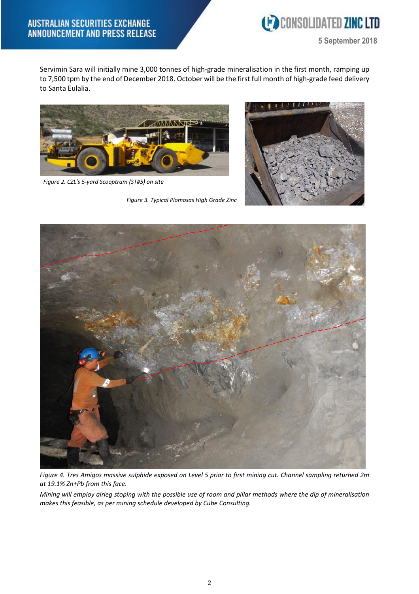

**5 September 2018**

Servimin Sara will initially mine 3,000 tonnes of high-grade mineralisation in the first month, ramping up to 7,500 tpm by the end of December 2018. October will be the first full month of high-grade feed delivery to Santa Eulalia.



*Figure 2. CZL's 5-yard Scooptram (ST#5) on site*

*Figure 3. Typical Plomosas High Grade Zinc*





Figure 4. Tres Amigos massive sulphide exposed on Level 5 prior to first mining cut. Channel sampling returned 2m *at 19.1% Zn+Pb from this face.*

Mining will employ airleg stoping with the possible use of room and pillar methods where the dip of mineralisation *makes this feasible, as per mining schedule developed by Cube Consulting.*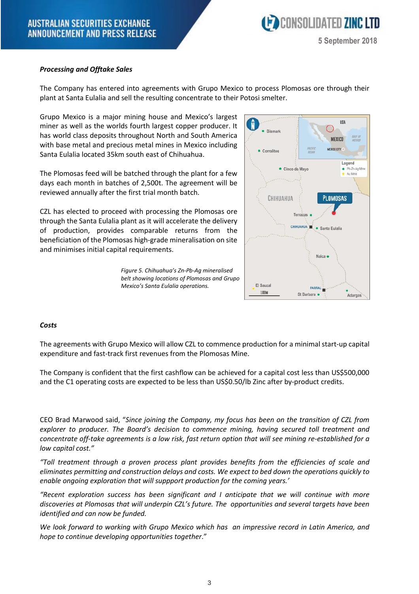### *Processing and Offtake Sales*

The Company has entered into agreements with Grupo Mexico to process Plomosas ore through their plant at Santa Eulalia and sell the resulting concentrate to their Potosi smelter.

Grupo Mexico is a major mining house and Mexico's largest miner as well as the worlds fourth largest copper producer. It has world class deposits throughout North and South America with base metal and precious metal mines in Mexico including Santa Eulalia located 35km south east of Chihuahua.

The Plomosas feed will be batched through the plant for a few days each month in batches of 2,500t. The agreement will be reviewed annually after the first trial month batch.

CZL has elected to proceed with processing the Plomosas ore through the Santa Eulalia plant as it will accelerate the delivery of production, provides comparable returns from the beneficiation of the Plomosas high-grade mineralisation on site and minimises initial capital requirements.



*Figure 5. Chihuahua's Zn-Pb-Ag mineralised belt showing locations of Plomosas and Grupo Mexico's Santa Eulalia operations.*

### *Costs*

The agreements with Grupo Mexico will allow CZL to commence production for a minimal start-up capital expenditure and fast-track first revenues from the Plomosas Mine.

The Company is confident that the first cashflow can be achieved for a capital cost less than US\$500,000 and the C1 operating costs are expected to be less than US\$0.50/lb Zinc after by-product credits.

CEO Brad Marwood said, "*Since joining the Company, my focus has been on the transition of CZL from explorer to producer. The Board's decision to commence mining, having secured toll treatment and* concentrate off-take agreements is a low risk, fast return option that will see mining re-established for a *low capital cost."*

*"Toll treatment through a proven process plant provides benefits from the efficiencies of scale and eliminates permitting and construction delays and costs. We expect to bed down the operations quickly to enable ongoing exploration that will suppport production for the coming years.'*

*"Recent exploration success has been significant and I anticipate that we will continue with more discoveries at Plomosas that will underpin CZL's future. The opportunities and several targets have been identified and can now be funded.*

*We look forward to working with Grupo Mexico which has an impressive record in Latin America, and hope to continue developing opportunities together*."